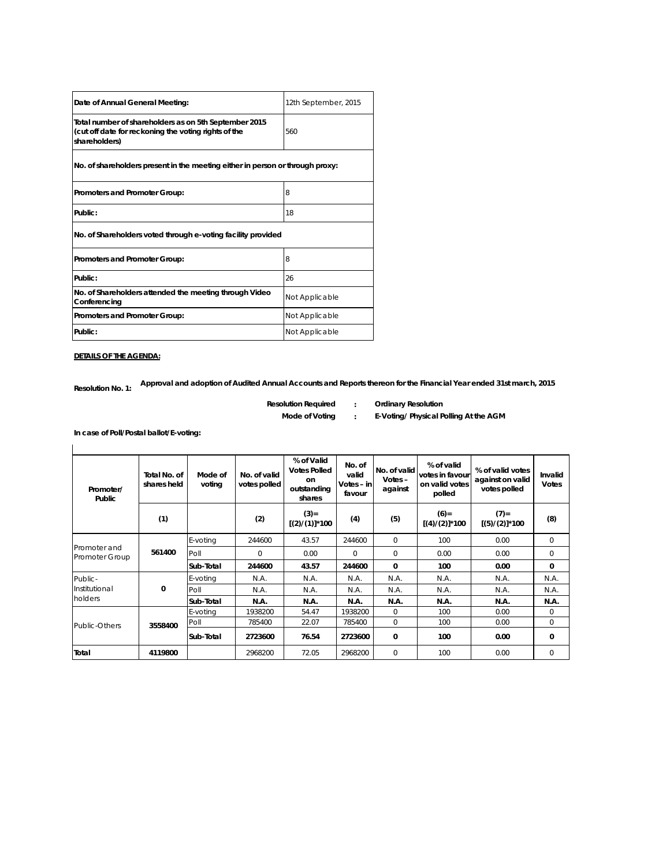| Date of Annual General Meeting:                                                                                                | 12th September, 2015 |
|--------------------------------------------------------------------------------------------------------------------------------|----------------------|
| Total number of shareholders as on 5th September 2015<br>(cut off date for reckoning the voting rights of the<br>shareholders) | 560                  |
| No. of shareholders present in the meeting either in person or through proxy:                                                  |                      |
| Promoters and Promoter Group:                                                                                                  | 8                    |
| Public:                                                                                                                        | 18                   |
| No. of Shareholders voted through e-voting facility provided                                                                   |                      |
| Promoters and Promoter Group:                                                                                                  | 8                    |
| Public:                                                                                                                        | 26                   |
| No. of Shareholders attended the meeting through Video<br>Conferencing                                                         | Not Applicable       |
| Promoters and Promoter Group:                                                                                                  | Not Applicable       |
| Public:                                                                                                                        | Not Applicable       |

**DETAILS OF THE AGENDA:**

 $\mathbf{I}$ 

**Resolution No. 1: Approval and adoption of Audited Annual Accounts and Reports thereon for the Financial Year ended 31st march, 2015**

- 
- **: Resolution Required Ordinary Resolution**
- **Mode of Voting**
- **: E-Voting/ Physical Polling At the AGM**

**In case of Poll/Postal ballot/E-voting:**

| Promoter/<br>Public            | Total No. of<br>shares held | Mode of<br>voting | No. of valid<br>votes polled | % of Valid<br><b>Votes Polled</b><br>on<br>outstanding<br>shares | No. of<br>valid<br>Votes - in<br>favour | No. of valid<br>Votes-<br>against | % of valid<br>votes in favour<br>on valid votes<br>polled | % of valid votes<br>against on valid<br>votes polled | Invalid<br><b>Votes</b> |
|--------------------------------|-----------------------------|-------------------|------------------------------|------------------------------------------------------------------|-----------------------------------------|-----------------------------------|-----------------------------------------------------------|------------------------------------------------------|-------------------------|
|                                | (1)                         |                   | (2)                          | $(3) =$<br>$[(2) / (1)]$ *100                                    | (4)                                     | (5)                               | $(6)=$<br>$[(4)/(2)]$ *100                                | $(7)$ =<br>$[(5)/(2)]$ *100                          | (8)                     |
| Promoter and<br>Promoter Group |                             | E-voting          | 244600                       | 43.57                                                            | 244600                                  | $\mathbf 0$                       | 100                                                       | 0.00                                                 | 0                       |
|                                | 561400                      | Poll              | 0                            | 0.00                                                             | $\Omega$                                | $\Omega$                          | 0.00                                                      | 0.00                                                 | 0                       |
|                                |                             | Sub-Total         | 244600                       | 43.57                                                            | 244600                                  | $\Omega$                          | 100                                                       | 0.00                                                 | 0                       |
| Public-                        | 0                           | E-voting          | N.A.                         | N.A.                                                             | N.A.                                    | N.A.                              | N.A.                                                      | N.A.                                                 | N.A.                    |
| Institutional<br>holders       |                             | Poll              | N.A.                         | N.A.                                                             | N.A.                                    | N.A.                              | N.A.                                                      | N.A.                                                 | N.A.                    |
|                                |                             | Sub-Total         | N.A.                         | N.A.                                                             | N.A.                                    | N.A.                              | N.A.                                                      | N.A.                                                 | N.A.                    |
|                                | 3558400                     | E-voting          | 1938200                      | 54.47                                                            | 1938200                                 | $\Omega$                          | 100                                                       | 0.00                                                 | $\Omega$                |
| Public-Others                  |                             | Poll              | 785400                       | 22.07                                                            | 785400                                  | $\Omega$                          | 100                                                       | 0.00                                                 | $\Omega$                |
|                                |                             | Sub-Total         | 2723600                      | 76.54                                                            | 2723600                                 | 0                                 | 100                                                       | 0.00                                                 | 0                       |
| Total                          | 4119800                     |                   | 2968200                      | 72.05                                                            | 2968200                                 | $\mathbf 0$                       | 100                                                       | 0.00                                                 | 0                       |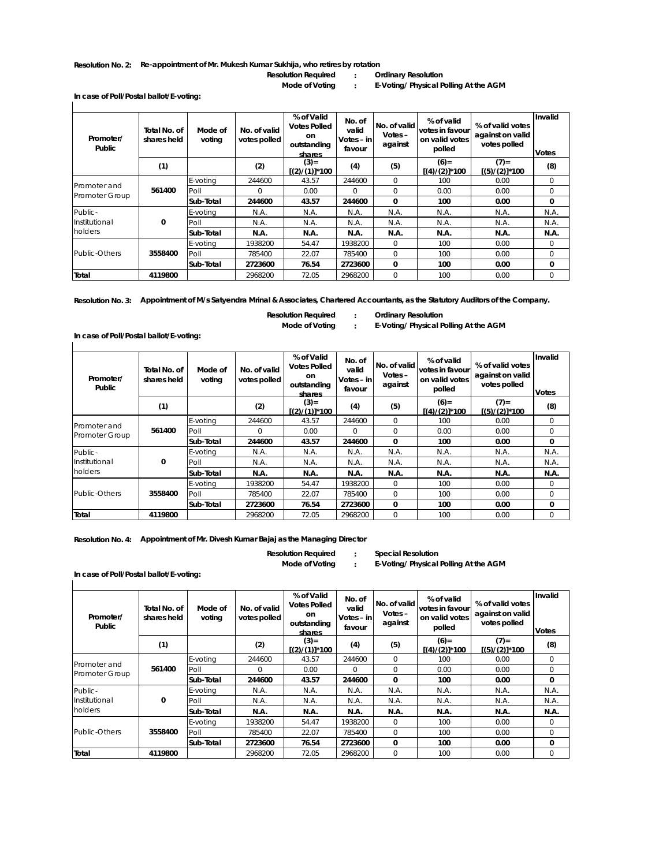## **Resolution No. 2: Re-appointment of Mr. Mukesh Kumar Sukhija, who retires by rotation**

**: Resolution Required Ordinary Resolution**

**: Mode of Voting E-Voting/ Physical Polling At the AGM**

**In case of Poll/Postal ballot/E-voting:**

| Promoter/<br>Public            | Total No. of<br>shares held | Mode of<br>voting | No. of valid<br>votes polled | % of Valid<br><b>Votes Polled</b><br>on<br>outstanding<br>shares | No. of<br>valid<br>Votes $-$ in<br>favour | No. of valid<br>$Votes -$<br>against | % of valid<br>votes in favour<br>on valid votes<br>polled | % of valid votes<br>against on valid<br>votes polled | Invalid<br><b>Votes</b> |
|--------------------------------|-----------------------------|-------------------|------------------------------|------------------------------------------------------------------|-------------------------------------------|--------------------------------------|-----------------------------------------------------------|------------------------------------------------------|-------------------------|
|                                | (1)                         |                   | (2)                          | $(3) =$<br>$[(2) / (1)]$ *100                                    | (4)                                       | (5)                                  | $(6) =$<br>$[(4)/(2)]$ *100                               | $(7) =$<br>$[(5)/(2)]$ *100                          | (8)                     |
| Promoter and<br>Promoter Group |                             | E-voting          | 244600                       | 43.57                                                            | 244600                                    | $\mathbf 0$                          | 100                                                       | 0.00                                                 | 0                       |
|                                | 561400                      | Poll              | $\Omega$                     | 0.00                                                             | $\Omega$                                  | $\Omega$                             | 0.00                                                      | 0.00                                                 | 0                       |
|                                |                             | Sub-Total         | 244600                       | 43.57                                                            | 244600                                    | $\mathbf{0}$                         | 100                                                       | 0.00                                                 | $\mathbf{0}$            |
| Public-                        |                             | E-voting          | N.A.                         | N.A.                                                             | N.A.                                      | N.A.                                 | N.A.                                                      | N.A.                                                 | N.A.                    |
| Institutional<br>holders       | 0                           | Poll              | N.A.                         | N.A.                                                             | N.A.                                      | N.A.                                 | N.A.                                                      | N.A.                                                 | N.A.                    |
|                                |                             | Sub-Total         | N.A.                         | N.A.                                                             | N.A.                                      | N.A.                                 | N.A.                                                      | N.A.                                                 | N.A.                    |
|                                |                             | E-voting          | 1938200                      | 54.47                                                            | 1938200                                   | $\Omega$                             | 100                                                       | 0.00                                                 | $\mathbf 0$             |
| Public-Others                  | 3558400                     | Poll              | 785400                       | 22.07                                                            | 785400                                    | $\mathbf 0$                          | 100                                                       | 0.00                                                 | 0                       |
|                                |                             | Sub-Total         | 2723600                      | 76.54                                                            | 2723600                                   | 0                                    | 100                                                       | 0.00                                                 | 0                       |
| Total                          | 4119800                     |                   | 2968200                      | 72.05                                                            | 2968200                                   | $\Omega$                             | 100                                                       | 0.00                                                 | $\Omega$                |

**Resolution No. 3: Appointment of M/s Satyendra Mrinal & Associates, Chartered Accountants, as the Statutory Auditors of the Company.**

**: :**

**Resolution Required Ordinary Resolution**

**Mode of Voting E-Voting/ Physical Polling At the AGM**

| Promoter/<br><b>Public</b>            | Total No. of<br>shares held | Mode of<br>voting | No. of valid<br>votes polled | % of Valid<br><b>Votes Polled</b><br>on<br>outstanding<br>shares | No. of<br>valid<br>Votes – in<br>favour | No. of valid<br>Votes-<br>against | % of valid<br>votes in favour<br>on valid votes<br>polled | % of valid votes<br>against on valid<br>votes polled | Invalid<br><b>Votes</b> |
|---------------------------------------|-----------------------------|-------------------|------------------------------|------------------------------------------------------------------|-----------------------------------------|-----------------------------------|-----------------------------------------------------------|------------------------------------------------------|-------------------------|
|                                       | (1)                         |                   | (2)                          | $(3) =$<br>$[(2)/(1)]$ *100                                      | (4)                                     | (5)                               | $(6)=$<br>$[(4)/(2)]$ *100                                | $(7)=$<br>(5)/(2)]*100                               | (8)                     |
| Promoter and<br><b>Promoter Group</b> |                             | E-votina          | 244600                       | 43.57                                                            | 244600                                  | $\Omega$                          | 100                                                       | 0.00                                                 | 0                       |
|                                       | 561400                      | Poll              | $\mathbf 0$                  | 0.00                                                             | $\circ$                                 | $\mathbf 0$                       | 0.00                                                      | 0.00                                                 | $\circ$                 |
|                                       |                             | Sub-Total         | 244600                       | 43.57                                                            | 244600                                  | $\Omega$                          | 100                                                       | 0.00                                                 | $\Omega$                |
| Public-                               | $\mathbf{0}$                | E-voting          | N.A.                         | N.A.                                                             | N.A.                                    | N.A.                              | N.A.                                                      | N.A.                                                 | N.A.                    |
| Institutional<br>holders              |                             | Poll              | N.A.                         | N.A.                                                             | N.A.                                    | N.A.                              | N.A.                                                      | N.A.                                                 | N.A.                    |
|                                       |                             | Sub-Total         | N.A.                         | N.A.                                                             | N.A.                                    | N.A.                              | N.A.                                                      | N.A.                                                 | N.A.                    |
|                                       |                             | E-voting          | 1938200                      | 54.47                                                            | 1938200                                 | $\Omega$                          | 100                                                       | 0.00                                                 | $\circ$                 |
| Public-Others                         | 3558400                     | Poll              | 785400                       | 22.07                                                            | 785400                                  | $\Omega$                          | 100                                                       | 0.00                                                 | 0                       |
|                                       |                             | Sub-Total         | 2723600                      | 76.54                                                            | 2723600                                 | 0                                 | 100                                                       | 0.00                                                 | 0                       |
| Total                                 | 4119800                     |                   | 2968200                      | 72.05                                                            | 2968200                                 | $\mathbf 0$                       | 100                                                       | 0.00                                                 | 0                       |

**Resolution No. 4: Appointment of Mr. Divesh Kumar Bajaj as the Managing Director**

**Resolution Required Special Resolution**

**In case of Poll/Postal ballot/E-voting:**

**In case of Poll/Postal ballot/E-voting:**

**:**

**:**

**Mode of Voting E-Voting/ Physical Polling At the AGM**

|  | in case of Foll/Fostal Dallot/E-Volling. |  |
|--|------------------------------------------|--|
|  |                                          |  |
|  |                                          |  |

| Promoter/<br>Public            | Total No. of<br>shares held | Mode of<br>voting | No. of valid<br>votes polled | % of Valid<br><b>Votes Polled</b><br>on<br>outstanding<br>shares | No. of<br>valid<br>Votes - in<br>favour | No. of valid<br>Votes $-$<br>against | % of valid<br>votes in favour<br>on valid votes<br>polled | % of valid votes<br>against on valid<br>votes polled | Invalid<br><b>Votes</b> |
|--------------------------------|-----------------------------|-------------------|------------------------------|------------------------------------------------------------------|-----------------------------------------|--------------------------------------|-----------------------------------------------------------|------------------------------------------------------|-------------------------|
|                                | (1)                         |                   | (2)                          | $(3) =$<br>$[(2)/(1)]$ *100                                      | (4)                                     | (5)                                  | $(6)=$<br>$[(4)/(2)]$ *100                                | $(7) =$<br>$[(5)/(2)]$ *100                          | (8)                     |
| Promoter and<br>Promoter Group |                             | E-voting          | 244600                       | 43.57                                                            | 244600                                  | $\Omega$                             | 100                                                       | 0.00                                                 | $\Omega$                |
|                                | 561400                      | Poll              | $\Omega$                     | 0.00                                                             | $\Omega$                                | $\Omega$                             | 0.00                                                      | 0.00                                                 | $\Omega$                |
|                                |                             | Sub-Total         | 244600                       | 43.57                                                            | 244600                                  | $\Omega$                             | 100                                                       | 0.00                                                 | 0                       |
| Public-                        | 0                           | E-voting          | N.A.                         | N.A.                                                             | N.A.                                    | N.A.                                 | N.A.                                                      | N.A.                                                 | N.A.                    |
| Institutional                  |                             | Poll              | N.A.                         | N.A.                                                             | N.A.                                    | N.A.                                 | N.A.                                                      | N.A.                                                 | N.A.                    |
| holders                        |                             | Sub-Total         | N.A.                         | N.A.                                                             | N.A.                                    | N.A.                                 | N.A.                                                      | N.A.                                                 | N.A.                    |
|                                |                             | E-voting          | 1938200                      | 54.47                                                            | 1938200                                 | $\Omega$                             | 100                                                       | 0.00                                                 | $\Omega$                |
| Public-Others                  | 3558400                     | Poll              | 785400                       | 22.07                                                            | 785400                                  | $\Omega$                             | 100                                                       | 0.00                                                 | $\Omega$                |
|                                |                             | Sub-Total         | 2723600                      | 76.54                                                            | 2723600                                 | 0                                    | 100                                                       | 0.00                                                 | 0                       |
| Total                          | 4119800                     |                   | 2968200                      | 72.05                                                            | 2968200                                 | $\mathbf 0$                          | 100                                                       | 0.00                                                 | $\Omega$                |